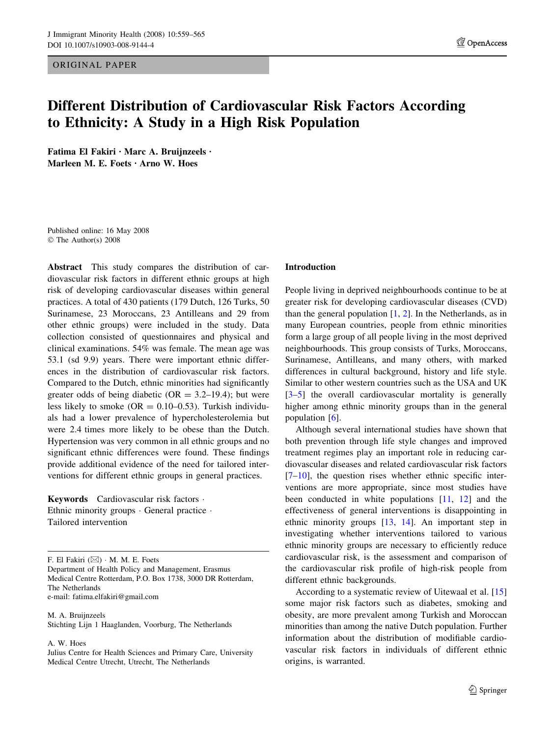ORIGINAL PAPER

# Different Distribution of Cardiovascular Risk Factors According to Ethnicity: A Study in a High Risk Population

Fatima El Fakiri  $\cdot$  Marc A. Bruijnzeels  $\cdot$ Marleen M. E. Foets  $\cdot$  Arno W. Hoes

Published online: 16 May 2008 The Author(s) 2008

Abstract This study compares the distribution of cardiovascular risk factors in different ethnic groups at high risk of developing cardiovascular diseases within general practices. A total of 430 patients (179 Dutch, 126 Turks, 50 Surinamese, 23 Moroccans, 23 Antilleans and 29 from other ethnic groups) were included in the study. Data collection consisted of questionnaires and physical and clinical examinations. 54% was female. The mean age was 53.1 (sd 9.9) years. There were important ethnic differences in the distribution of cardiovascular risk factors. Compared to the Dutch, ethnic minorities had significantly greater odds of being diabetic ( $OR = 3.2{\text -}19.4$ ); but were less likely to smoke ( $OR = 0.10{\text -}0.53$ ). Turkish individuals had a lower prevalence of hypercholesterolemia but were 2.4 times more likely to be obese than the Dutch. Hypertension was very common in all ethnic groups and no significant ethnic differences were found. These findings provide additional evidence of the need for tailored interventions for different ethnic groups in general practices.

**Keywords** Cardiovascular risk factors  $\cdot$ Ethnic minority groups  $\cdot$  General practice  $\cdot$ Tailored intervention

F. El Fakiri  $(\boxtimes)$   $\cdot$  M. M. E. Foets

Department of Health Policy and Management, Erasmus Medical Centre Rotterdam, P.O. Box 1738, 3000 DR Rotterdam, The Netherlands e-mail: fatima.elfakiri@gmail.com

M. A. Bruijnzeels

Stichting Lijn 1 Haaglanden, Voorburg, The Netherlands

A. W. Hoes

Julius Centre for Health Sciences and Primary Care, University Medical Centre Utrecht, Utrecht, The Netherlands

#### Introduction

People living in deprived neighbourhoods continue to be at greater risk for developing cardiovascular diseases (CVD) than the general population  $[1, 2]$  $[1, 2]$  $[1, 2]$  $[1, 2]$ . In the Netherlands, as in many European countries, people from ethnic minorities form a large group of all people living in the most deprived neighbourhoods. This group consists of Turks, Moroccans, Surinamese, Antilleans, and many others, with marked differences in cultural background, history and life style. Similar to other western countries such as the USA and UK [\[3–5](#page-5-0)] the overall cardiovascular mortality is generally higher among ethnic minority groups than in the general population [[6\]](#page-5-0).

Although several international studies have shown that both prevention through life style changes and improved treatment regimes play an important role in reducing cardiovascular diseases and related cardiovascular risk factors  $[7-10]$ , the question rises whether ethnic specific interventions are more appropriate, since most studies have been conducted in white populations [[11,](#page-6-0) [12\]](#page-6-0) and the effectiveness of general interventions is disappointing in ethnic minority groups [[13,](#page-6-0) [14\]](#page-6-0). An important step in investigating whether interventions tailored to various ethnic minority groups are necessary to efficiently reduce cardiovascular risk, is the assessment and comparison of the cardiovascular risk profile of high-risk people from different ethnic backgrounds.

According to a systematic review of Uitewaal et al. [[15\]](#page-6-0) some major risk factors such as diabetes, smoking and obesity, are more prevalent among Turkish and Moroccan minorities than among the native Dutch population. Further information about the distribution of modifiable cardiovascular risk factors in individuals of different ethnic origins, is warranted.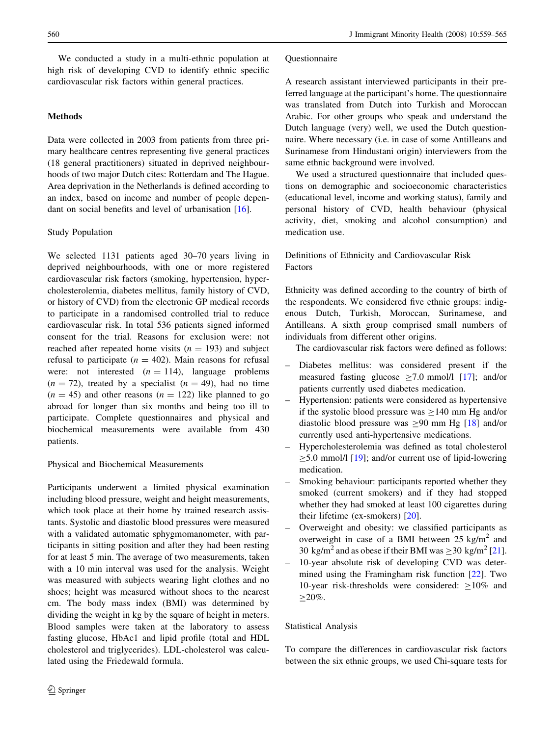We conducted a study in a multi-ethnic population at high risk of developing CVD to identify ethnic specific cardiovascular risk factors within general practices.

## Methods

Data were collected in 2003 from patients from three primary healthcare centres representing five general practices (18 general practitioners) situated in deprived neighbourhoods of two major Dutch cites: Rotterdam and The Hague. Area deprivation in the Netherlands is defined according to an index, based on income and number of people dependant on social benefits and level of urbanisation [\[16](#page-6-0)].

## Study Population

We selected 1131 patients aged 30–70 years living in deprived neighbourhoods, with one or more registered cardiovascular risk factors (smoking, hypertension, hypercholesterolemia, diabetes mellitus, family history of CVD, or history of CVD) from the electronic GP medical records to participate in a randomised controlled trial to reduce cardiovascular risk. In total 536 patients signed informed consent for the trial. Reasons for exclusion were: not reached after repeated home visits  $(n = 193)$  and subject refusal to participate ( $n = 402$ ). Main reasons for refusal were: not interested  $(n = 114)$ , language problems  $(n = 72)$ , treated by a specialist  $(n = 49)$ , had no time  $(n = 45)$  and other reasons  $(n = 122)$  like planned to go abroad for longer than six months and being too ill to participate. Complete questionnaires and physical and biochemical measurements were available from 430 patients.

## Physical and Biochemical Measurements

Participants underwent a limited physical examination including blood pressure, weight and height measurements, which took place at their home by trained research assistants. Systolic and diastolic blood pressures were measured with a validated automatic sphygmomanometer, with participants in sitting position and after they had been resting for at least 5 min. The average of two measurements, taken with a 10 min interval was used for the analysis. Weight was measured with subjects wearing light clothes and no shoes; height was measured without shoes to the nearest cm. The body mass index (BMI) was determined by dividing the weight in kg by the square of height in meters. Blood samples were taken at the laboratory to assess fasting glucose, HbAc1 and lipid profile (total and HDL cholesterol and triglycerides). LDL-cholesterol was calculated using the Friedewald formula.

#### **Ouestionnaire**

A research assistant interviewed participants in their preferred language at the participant's home. The questionnaire was translated from Dutch into Turkish and Moroccan Arabic. For other groups who speak and understand the Dutch language (very) well, we used the Dutch questionnaire. Where necessary (i.e. in case of some Antilleans and Surinamese from Hindustani origin) interviewers from the same ethnic background were involved.

We used a structured questionnaire that included questions on demographic and socioeconomic characteristics (educational level, income and working status), family and personal history of CVD, health behaviour (physical activity, diet, smoking and alcohol consumption) and medication use.

## Definitions of Ethnicity and Cardiovascular Risk Factors

Ethnicity was defined according to the country of birth of the respondents. We considered five ethnic groups: indigenous Dutch, Turkish, Moroccan, Surinamese, and Antilleans. A sixth group comprised small numbers of individuals from different other origins.

The cardiovascular risk factors were defined as follows:

- Diabetes mellitus: was considered present if the measured fasting glucose  $>7.0$  mmol/l [[17\]](#page-6-0); and/or patients currently used diabetes medication.
- Hypertension: patients were considered as hypertensive if the systolic blood pressure was  $>140$  mm Hg and/or diastolic blood pressure was  $\geq 90$  mm Hg [\[18](#page-6-0)] and/or currently used anti-hypertensive medications.
- Hypercholesterolemia was defined as total cholesterol  $\geq$ 5.0 mmol/l [[19\]](#page-6-0); and/or current use of lipid-lowering medication.
- Smoking behaviour: participants reported whether they smoked (current smokers) and if they had stopped whether they had smoked at least 100 cigarettes during their lifetime (ex-smokers) [[20\]](#page-6-0).
- Overweight and obesity: we classified participants as overweight in case of a BMI between  $25 \text{ kg/m}^2$  and 30 kg/m<sup>2</sup> and as obese if their BMI was  $\geq$  30 kg/m<sup>2</sup> [\[21](#page-6-0)].
- 10-year absolute risk of developing CVD was determined using the Framingham risk function [\[22](#page-6-0)]. Two 10-year risk-thresholds were considered:  $\geq$ 10% and  $\geq$ 20%.

## Statistical Analysis

To compare the differences in cardiovascular risk factors between the six ethnic groups, we used Chi-square tests for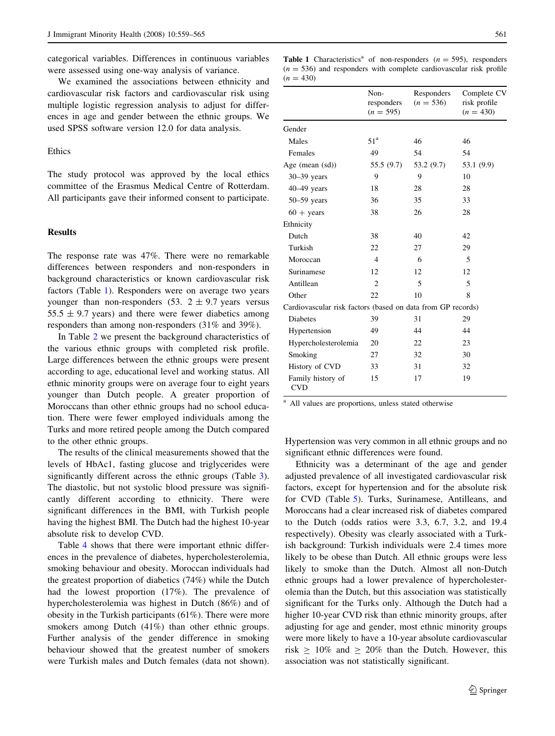categorical variables. Differences in continuous variables were assessed using one-way analysis of variance.

We examined the associations between ethnicity and cardiovascular risk factors and cardiovascular risk using multiple logistic regression analysis to adjust for differences in age and gender between the ethnic groups. We used SPSS software version 12.0 for data analysis.

## **Ethics**

The study protocol was approved by the local ethics committee of the Erasmus Medical Centre of Rotterdam. All participants gave their informed consent to participate.

## **Results**

The response rate was 47%. There were no remarkable differences between responders and non-responders in background characteristics or known cardiovascular risk factors (Table 1). Responders were on average two years younger than non-responders (53.  $2 \pm 9.7$  years versus  $55.5 \pm 9.7$  years) and there were fewer diabetics among responders than among non-responders (31% and 39%).

In Table [2](#page-3-0) we present the background characteristics of the various ethnic groups with completed risk profile. Large differences between the ethnic groups were present according to age, educational level and working status. All ethnic minority groups were on average four to eight years younger than Dutch people. A greater proportion of Moroccans than other ethnic groups had no school education. There were fewer employed individuals among the Turks and more retired people among the Dutch compared to the other ethnic groups.

The results of the clinical measurements showed that the levels of HbAc1, fasting glucose and triglycerides were significantly different across the ethnic groups (Table [3](#page-3-0)). The diastolic, but not systolic blood pressure was significantly different according to ethnicity. There were significant differences in the BMI, with Turkish people having the highest BMI. The Dutch had the highest 10-year absolute risk to develop CVD.

Table [4](#page-4-0) shows that there were important ethnic differences in the prevalence of diabetes, hypercholesterolemia, smoking behaviour and obesity. Moroccan individuals had the greatest proportion of diabetics (74%) while the Dutch had the lowest proportion (17%). The prevalence of hypercholesterolemia was highest in Dutch (86%) and of obesity in the Turkish participants (61%). There were more smokers among Dutch  $(41%)$  than other ethnic groups. Further analysis of the gender difference in smoking behaviour showed that the greatest number of smokers were Turkish males and Dutch females (data not shown).

**Table 1** Characteristics<sup>a</sup> of non-responders ( $n = 595$ ), responders  $(n = 536)$  and responders with complete cardiovascular risk profile  $(n = 430)$ 

|                                                             | Non-<br>responders<br>$(n = 595)$ | Responders<br>$(n = 536)$ | Complete CV<br>risk profile<br>$(n = 430)$ |
|-------------------------------------------------------------|-----------------------------------|---------------------------|--------------------------------------------|
| Gender                                                      |                                   |                           |                                            |
| Males                                                       | 51 <sup>a</sup>                   | 46                        | 46                                         |
| Females                                                     | 49                                | 54                        | 54                                         |
| Age (mean $(sd)$ )                                          | 55.5 (9.7)                        | 53.2(9.7)                 | 53.1 (9.9)                                 |
| 30-39 years                                                 | 9                                 | 9                         | 10                                         |
| $40-49$ years                                               | 18                                | 28                        | 28                                         |
| $50 - 59$ years                                             | 36                                | 35                        | 33                                         |
| $60 + \text{years}$                                         | 38                                | 26                        | 28                                         |
| Ethnicity                                                   |                                   |                           |                                            |
| Dutch                                                       | 38                                | 40                        | 42                                         |
| Turkish                                                     | 22                                | 27                        | 29                                         |
| Moroccan                                                    | $\overline{4}$                    | 6                         | 5                                          |
| Surinamese                                                  | 12                                | 12                        | 12                                         |
| Antillean                                                   | $\overline{2}$                    | 5                         | 5                                          |
| Other                                                       | 22                                | 10                        | 8                                          |
| Cardiovascular risk factors (based on data from GP records) |                                   |                           |                                            |
| Diabetes                                                    | 39                                | 31                        | 29                                         |
| Hypertension                                                | 49                                | 44                        | 44                                         |
| Hypercholesterolemia                                        | 20                                | 22                        | 23                                         |
| Smoking                                                     | 27                                | 32                        | 30                                         |
| History of CVD                                              | 33                                | 31                        | 32                                         |
| Family history of<br><b>CVD</b>                             | 15                                | 17                        | 19                                         |

<sup>a</sup> All values are proportions, unless stated otherwise

Hypertension was very common in all ethnic groups and no significant ethnic differences were found.

Ethnicity was a determinant of the age and gender adjusted prevalence of all investigated cardiovascular risk factors, except for hypertension and for the absolute risk for CVD (Table [5\)](#page-4-0). Turks, Surinamese, Antilleans, and Moroccans had a clear increased risk of diabetes compared to the Dutch (odds ratios were 3.3, 6.7, 3.2, and 19.4 respectively). Obesity was clearly associated with a Turkish background: Turkish individuals were 2.4 times more likely to be obese than Dutch. All ethnic groups were less likely to smoke than the Dutch. Almost all non-Dutch ethnic groups had a lower prevalence of hypercholesterolemia than the Dutch, but this association was statistically significant for the Turks only. Although the Dutch had a higher 10-year CVD risk than ethnic minority groups, after adjusting for age and gender, most ethnic minority groups were more likely to have a 10-year absolute cardiovascular risk  $\geq 10\%$  and  $\geq 20\%$  than the Dutch. However, this association was not statistically significant.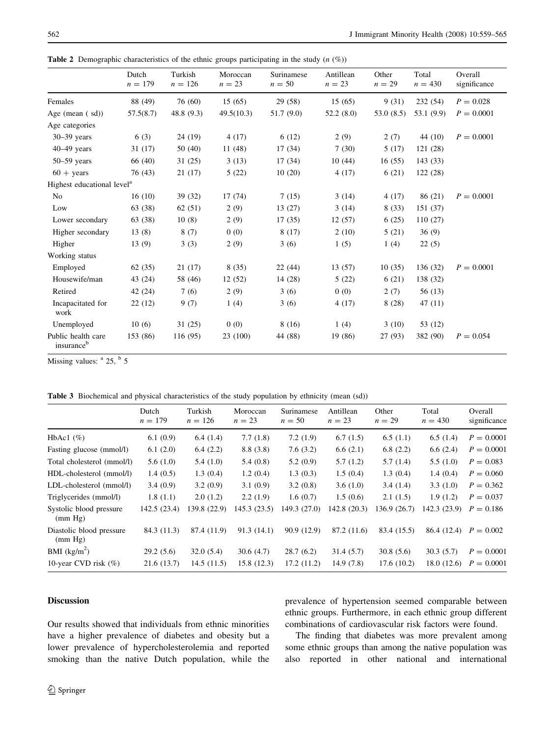<span id="page-3-0"></span>**Table 2** Demographic characteristics of the ethnic groups participating in the study  $(n \, (\%)$ 

|                                        | Dutch<br>$n = 179$ | Turkish<br>$n = 126$ | Moroccan<br>$n = 23$ | Surinamese<br>$n = 50$ | Antillean<br>$n = 23$ | Other<br>$n = 29$ | Total<br>$n = 430$ | Overall<br>significance |
|----------------------------------------|--------------------|----------------------|----------------------|------------------------|-----------------------|-------------------|--------------------|-------------------------|
| Females                                | 88 (49)            | 76 (60)              | 15(65)               | 29 (58)                | 15(65)                | 9(31)             | 232 (54)           | $P = 0.028$             |
| Age (mean $(sd)$ )                     | 57.5(8.7)          | 48.8 $(9.3)$         | 49.5(10.3)           | 51.7(9.0)              | 52.2(8.0)             | 53.0(8.5)         | 53.1 (9.9)         | $P = 0.0001$            |
| Age categories                         |                    |                      |                      |                        |                       |                   |                    |                         |
| 30-39 years                            | 6(3)               | 24 (19)              | 4(17)                | 6(12)                  | 2(9)                  | 2(7)              | 44 (10)            | $P = 0.0001$            |
| $40-49$ years                          | 31(17)             | 50(40)               | 11(48)               | 17(34)                 | 7(30)                 | 5(17)             | 121 (28)           |                         |
| $50 - 59$ years                        | 66 (40)            | 31(25)               | 3(13)                | 17(34)                 | 10(44)                | 16(55)            | 143 (33)           |                         |
| $60 + \text{years}$                    | 76 (43)            | 21(17)               | 5(22)                | 10(20)                 | 4(17)                 | 6(21)             | 122(28)            |                         |
| Highest educational level <sup>a</sup> |                    |                      |                      |                        |                       |                   |                    |                         |
| No                                     | 16(10)             | 39(32)               | 17(74)               | 7(15)                  | 3(14)                 | 4(17)             | 86 (21)            | $P = 0.0001$            |
| Low                                    | 63 (38)            | 62(51)               | 2(9)                 | 13(27)                 | 3(14)                 | 8(33)             | 151 (37)           |                         |
| Lower secondary                        | 63 (38)            | 10(8)                | 2(9)                 | 17(35)                 | 12(57)                | 6(25)             | 110(27)            |                         |
| Higher secondary                       | 13(8)              | 8(7)                 | 0(0)                 | 8(17)                  | 2(10)                 | 5(21)             | 36(9)              |                         |
| Higher                                 | 13(9)              | 3(3)                 | 2(9)                 | 3(6)                   | 1(5)                  | 1(4)              | 22(5)              |                         |
| Working status                         |                    |                      |                      |                        |                       |                   |                    |                         |
| Employed                               | 62(35)             | 21(17)               | 8(35)                | 22(44)                 | 13(57)                | 10(35)            | 136 (32)           | $P = 0.0001$            |
| Housewife/man                          | 43 (24)            | 58 (46)              | 12(52)               | 14 (28)                | 5(22)                 | 6(21)             | 138 (32)           |                         |
| Retired                                | 42 (24)            | 7(6)                 | 2(9)                 | 3(6)                   | 0(0)                  | 2(7)              | 56(13)             |                         |
| Incapacitated for<br>work              | 22(12)             | 9(7)                 | 1(4)                 | 3(6)                   | 4(17)                 | 8(28)             | 47(11)             |                         |
| Unemployed                             | 10(6)              | 31(25)               | 0(0)                 | 8(16)                  | 1(4)                  | 3(10)             | 53 (12)            |                         |
| Public health care<br>insuranceb       | 153 (86)           | 116(95)              | 23 (100)             | 44 (88)                | 19 (86)               | 27 (93)           | 382 (90)           | $P = 0.054$             |

Missing values:  $a$  25,  $b$  5

|  |  |  |  | Table 3 Biochemical and physical characteristics of the study population by ethnicity (mean (sd)) |  |  |  |  |  |  |  |  |
|--|--|--|--|---------------------------------------------------------------------------------------------------|--|--|--|--|--|--|--|--|
|--|--|--|--|---------------------------------------------------------------------------------------------------|--|--|--|--|--|--|--|--|

|                                     | Dutch<br>$n = 179$ | Turkish<br>$n = 126$ | Moroccan<br>$n=23$ | Surinamese<br>$n = 50$ | Antillean<br>$n=23$ | Other<br>$n=29$ | Total<br>$n = 430$ | Overall<br>significance |
|-------------------------------------|--------------------|----------------------|--------------------|------------------------|---------------------|-----------------|--------------------|-------------------------|
| HbAc1 $(\%)$                        | 6.1(0.9)           | 6.4(1.4)             | 7.7(1.8)           | 7.2(1.9)               | 6.7(1.5)            | 6.5(1.1)        | 6.5(1.4)           | $P = 0.0001$            |
| Fasting glucose (mmol/l)            | 6.1(2.0)           | 6.4(2.2)             | 8.8(3.8)           | 7.6(3.2)               | 6.6(2.1)            | 6.8(2.2)        | 6.6(2.4)           | $P = 0.0001$            |
| Total cholesterol (mmol/l)          | 5.6(1.0)           | 5.4(1.0)             | 5.4(0.8)           | 5.2(0.9)               | 5.7(1.2)            | 5.7(1.4)        | 5.5(1.0)           | $P = 0.083$             |
| HDL-cholesterol (mmol/l)            | 1.4(0.5)           | 1.3(0.4)             | 1.2(0.4)           | 1.3(0.3)               | 1.5(0.4)            | 1.3(0.4)        | 1.4(0.4)           | $P = 0.060$             |
| LDL-cholesterol (mmol/l)            | 3.4(0.9)           | 3.2(0.9)             | 3.1(0.9)           | 3.2(0.8)               | 3.6(1.0)            | 3.4(1.4)        | 3.3(1.0)           | $P = 0.362$             |
| Triglycerides (mmol/l)              | 1.8(1.1)           | 2.0(1.2)             | 2.2(1.9)           | 1.6(0.7)               | 1.5(0.6)            | 2.1(1.5)        | 1.9(1.2)           | $P = 0.037$             |
| Systolic blood pressure<br>(mm Hg)  | 142.5(23.4)        | 139.8 (22.9)         | 145.3 (23.5)       | 149.3(27.0)            | 142.8(20.3)         | 136.9 (26.7)    | 142.3(23.9)        | $P = 0.186$             |
| Diastolic blood pressure<br>(mm Hg) | 84.3 (11.3)        | 87.4 (11.9)          | 91.3(14.1)         | 90.9 (12.9)            | 87.2 (11.6)         | 83.4 (15.5)     | 86.4 (12.4)        | $P = 0.002$             |
| BMI $(kg/m^2)$                      | 29.2(5.6)          | 32.0(5.4)            | 30.6(4.7)          | 28.7(6.2)              | 31.4(5.7)           | 30.8(5.6)       | 30.3(5.7)          | $P = 0.0001$            |
| 10-year CVD risk $(\%)$             | 21.6(13.7)         | 14.5(11.5)           | 15.8 (12.3)        | 17.2(11.2)             | 14.9(7.8)           | 17.6(10.2)      | 18.0(12.6)         | $P = 0.0001$            |

## **Discussion**

Our results showed that individuals from ethnic minorities have a higher prevalence of diabetes and obesity but a lower prevalence of hypercholesterolemia and reported smoking than the native Dutch population, while the prevalence of hypertension seemed comparable between ethnic groups. Furthermore, in each ethnic group different combinations of cardiovascular risk factors were found.

The finding that diabetes was more prevalent among some ethnic groups than among the native population was also reported in other national and international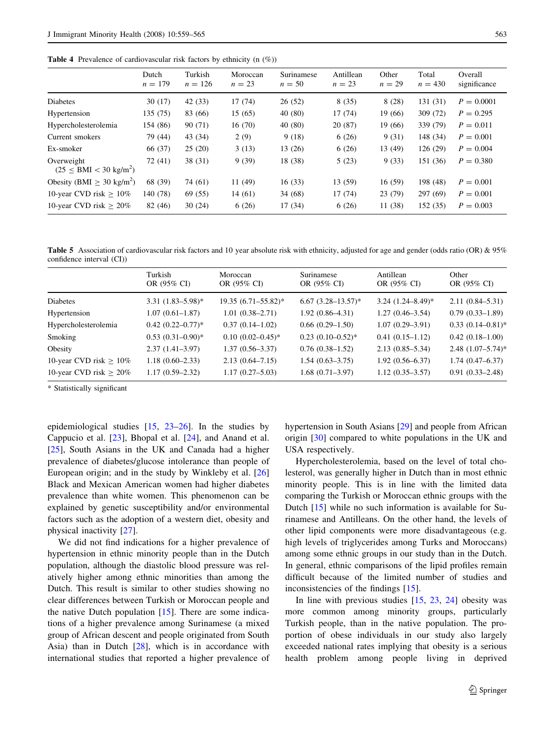<span id="page-4-0"></span>**Table 4** Prevalence of cardiovascular risk factors by ethnicity  $(n \ (\%))$ 

|                                                | Dutch<br>$n = 179$ | Turkish<br>$n = 126$ | Moroccan<br>$n = 23$ | Surinamese<br>$n = 50$ | Antillean<br>$n = 23$ | Other<br>$n = 29$ | Total<br>$n = 430$ | Overall<br>significance |
|------------------------------------------------|--------------------|----------------------|----------------------|------------------------|-----------------------|-------------------|--------------------|-------------------------|
| <b>Diabetes</b>                                | 30(17)             | 42 (33)              | 17(74)               | 26(52)                 | 8(35)                 | 8(28)             | 131 (31)           | $P = 0.0001$            |
| Hypertension                                   | 135 (75)           | 83 (66)              | 15(65)               | 40(80)                 | 17(74)                | 19 (66)           | 309 (72)           | $P = 0.295$             |
| Hypercholesterolemia                           | 154 (86)           | 90 $(71)$            | 16(70)               | 40 (80)                | 20(87)                | 19 (66)           | 339 (79)           | $P = 0.011$             |
| Current smokers                                | 79 (44)            | 43 (34)              | 2(9)                 | 9(18)                  | 6(26)                 | 9(31)             | 148 (34)           | $P = 0.001$             |
| Ex-smoker                                      | 66 (37)            | 25(20)               | 3(13)                | 13 (26)                | 6(26)                 | 13 (49)           | 126(29)            | $P = 0.004$             |
| Overweight<br>$(25 < BMI < 30 \text{ kg/m}^2)$ | 72 (41)            | 38 (31)              | 9(39)                | 18 (38)                | 5(23)                 | 9(33)             | 151 (36)           | $P = 0.380$             |
| Obesity (BMI $>$ 30 kg/m <sup>2</sup> )        | 68 (39)            | 74 (61)              | 11 (49)              | 16(33)                 | 13 (59)               | 16(59)            | 198 (48)           | $P = 0.001$             |
| 10-year CVD risk $> 10\%$                      | 140 (78)           | 69 (55)              | 14(61)               | 34 (68)                | 17(74)                | 23(79)            | 297 (69)           | $P = 0.001$             |
| 10-year CVD risk $> 20\%$                      | 82 (46)            | 30(24)               | 6(26)                | 17(34)                 | 6(26)                 | 11 (38)           | 152(35)            | $P = 0.003$             |

Table 5 Association of cardiovascular risk factors and 10 year absolute risk with ethnicity, adjusted for age and gender (odds ratio (OR) & 95% confidence interval (CI))

|                              | Turkish<br>OR (95% CI) | Moroccan<br>OR (95% CI) | Surinamese<br>OR (95% CI) | Antillean<br>OR (95% CI) | Other<br>OR (95% CI)   |
|------------------------------|------------------------|-------------------------|---------------------------|--------------------------|------------------------|
| <b>Diabetes</b>              | $3.31(1.83 - 5.98)^*$  | $19.35(6.71 - 55.82)^*$ | $6.67$ $(3.28-13.57)$ *   | $3.24(1.24 - 8.49)^*$    | $2.11(0.84 - 5.31)$    |
| Hypertension                 | $1.07(0.61 - 1.87)$    | $1.01(0.38-2.71)$       | $1.92(0.86-4.31)$         | $1.27(0.46-3.54)$        | $0.79(0.33-1.89)$      |
| Hypercholesterolemia         | $0.42(0.22 - 0.77)^*$  | $0.37(0.14-1.02)$       | $0.66(0.29-1.50)$         | $1.07(0.29 - 3.91)$      | $0.33(0.14 - 0.81)$ *  |
| Smoking                      | $0.53(0.31-0.90)$ *    | $0.10(0.02 - 0.45)^*$   | $0.23$ $(0.10-0.52)$ *    | $0.41(0.15-1.12)$        | $0.42(0.18-1.00)$      |
| Obesity                      | $2.37(1.41-3.97)$      | $1.37(0.56 - 3.37)$     | $0.76(0.38-1.52)$         | $2.13(0.85 - 5.34)$      | $2.48$ $(1.07-5.74)$ * |
| 10-year CVD risk $\geq 10\%$ | $1.18(0.60 - 2.33)$    | $2.13(0.64 - 7.15)$     | $1.54(0.63-3.75)$         | $1.92(0.56 - 6.37)$      | $1.74(0.47 - 6.37)$    |
| 10-year CVD risk $\geq 20\%$ | $1.17(0.59 - 2.32)$    | $1.17(0.27 - 5.03)$     | $1.68(0.71-3.97)$         | $1.12(0.35 - 3.57)$      | $0.91(0.33 - 2.48)$    |

\* Statistically significant

epidemiological studies [\[15](#page-6-0), [23–26\]](#page-6-0). In the studies by Cappucio et al. [[23\]](#page-6-0), Bhopal et al. [\[24](#page-6-0)], and Anand et al. [\[25](#page-6-0)], South Asians in the UK and Canada had a higher prevalence of diabetes/glucose intolerance than people of European origin; and in the study by Winkleby et al. [[26\]](#page-6-0) Black and Mexican American women had higher diabetes prevalence than white women. This phenomenon can be explained by genetic susceptibility and/or environmental factors such as the adoption of a western diet, obesity and physical inactivity [\[27](#page-6-0)].

We did not find indications for a higher prevalence of hypertension in ethnic minority people than in the Dutch population, although the diastolic blood pressure was relatively higher among ethnic minorities than among the Dutch. This result is similar to other studies showing no clear differences between Turkish or Moroccan people and the native Dutch population  $[15]$  $[15]$ . There are some indications of a higher prevalence among Surinamese (a mixed group of African descent and people originated from South Asia) than in Dutch [[28\]](#page-6-0), which is in accordance with international studies that reported a higher prevalence of hypertension in South Asians [[29\]](#page-6-0) and people from African origin [[30\]](#page-6-0) compared to white populations in the UK and USA respectively.

Hypercholesterolemia, based on the level of total cholesterol, was generally higher in Dutch than in most ethnic minority people. This is in line with the limited data comparing the Turkish or Moroccan ethnic groups with the Dutch [\[15](#page-6-0)] while no such information is available for Surinamese and Antilleans. On the other hand, the levels of other lipid components were more disadvantageous (e.g. high levels of triglycerides among Turks and Moroccans) among some ethnic groups in our study than in the Dutch. In general, ethnic comparisons of the lipid profiles remain difficult because of the limited number of studies and inconsistencies of the findings [\[15](#page-6-0)].

In line with previous studies [[15,](#page-6-0) [23,](#page-6-0) [24](#page-6-0)] obesity was more common among minority groups, particularly Turkish people, than in the native population. The proportion of obese individuals in our study also largely exceeded national rates implying that obesity is a serious health problem among people living in deprived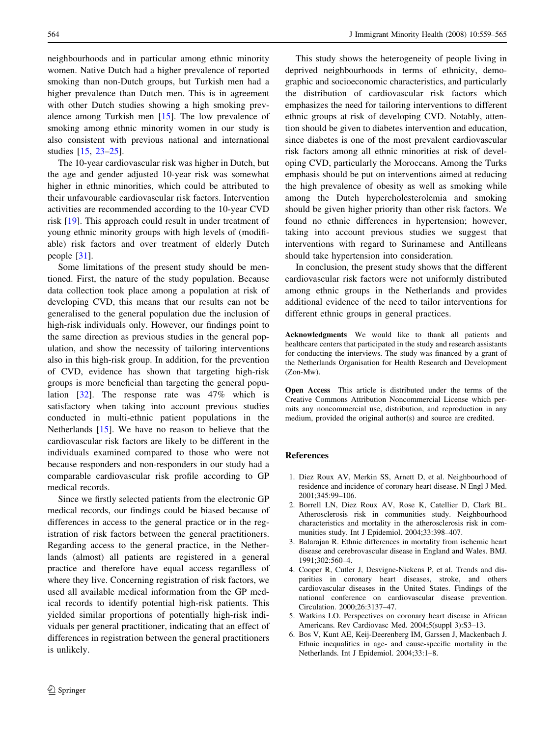<span id="page-5-0"></span>neighbourhoods and in particular among ethnic minority women. Native Dutch had a higher prevalence of reported smoking than non-Dutch groups, but Turkish men had a higher prevalence than Dutch men. This is in agreement with other Dutch studies showing a high smoking prevalence among Turkish men [\[15](#page-6-0)]. The low prevalence of smoking among ethnic minority women in our study is also consistent with previous national and international studies [\[15](#page-6-0), [23–25\]](#page-6-0).

The 10-year cardiovascular risk was higher in Dutch, but the age and gender adjusted 10-year risk was somewhat higher in ethnic minorities, which could be attributed to their unfavourable cardiovascular risk factors. Intervention activities are recommended according to the 10-year CVD risk [\[19](#page-6-0)]. This approach could result in under treatment of young ethnic minority groups with high levels of (modifiable) risk factors and over treatment of elderly Dutch people [\[31](#page-6-0)].

Some limitations of the present study should be mentioned. First, the nature of the study population. Because data collection took place among a population at risk of developing CVD, this means that our results can not be generalised to the general population due the inclusion of high-risk individuals only. However, our findings point to the same direction as previous studies in the general population, and show the necessity of tailoring interventions also in this high-risk group. In addition, for the prevention of CVD, evidence has shown that targeting high-risk groups is more beneficial than targeting the general population [\[32](#page-6-0)]. The response rate was 47% which is satisfactory when taking into account previous studies conducted in multi-ethnic patient populations in the Netherlands [[15\]](#page-6-0). We have no reason to believe that the cardiovascular risk factors are likely to be different in the individuals examined compared to those who were not because responders and non-responders in our study had a comparable cardiovascular risk profile according to GP medical records.

Since we firstly selected patients from the electronic GP medical records, our findings could be biased because of differences in access to the general practice or in the registration of risk factors between the general practitioners. Regarding access to the general practice, in the Netherlands (almost) all patients are registered in a general practice and therefore have equal access regardless of where they live. Concerning registration of risk factors, we used all available medical information from the GP medical records to identify potential high-risk patients. This yielded similar proportions of potentially high-risk individuals per general practitioner, indicating that an effect of differences in registration between the general practitioners is unlikely.

This study shows the heterogeneity of people living in deprived neighbourhoods in terms of ethnicity, demographic and socioeconomic characteristics, and particularly the distribution of cardiovascular risk factors which emphasizes the need for tailoring interventions to different ethnic groups at risk of developing CVD. Notably, attention should be given to diabetes intervention and education, since diabetes is one of the most prevalent cardiovascular risk factors among all ethnic minorities at risk of developing CVD, particularly the Moroccans. Among the Turks emphasis should be put on interventions aimed at reducing the high prevalence of obesity as well as smoking while among the Dutch hypercholesterolemia and smoking should be given higher priority than other risk factors. We found no ethnic differences in hypertension; however, taking into account previous studies we suggest that interventions with regard to Surinamese and Antilleans should take hypertension into consideration.

In conclusion, the present study shows that the different cardiovascular risk factors were not uniformly distributed among ethnic groups in the Netherlands and provides additional evidence of the need to tailor interventions for different ethnic groups in general practices.

Acknowledgments We would like to thank all patients and healthcare centers that participated in the study and research assistants for conducting the interviews. The study was financed by a grant of the Netherlands Organisation for Health Research and Development (Zon-Mw).

Open Access This article is distributed under the terms of the Creative Commons Attribution Noncommercial License which permits any noncommercial use, distribution, and reproduction in any medium, provided the original author(s) and source are credited.

## References

- 1. Diez Roux AV, Merkin SS, Arnett D, et al. Neighbourhood of residence and incidence of coronary heart disease. N Engl J Med. 2001;345:99–106.
- 2. Borrell LN, Diez Roux AV, Rose K, Catellier D, Clark BL. Atherosclerosis risk in communities study. Neighbourhood characteristics and mortality in the atherosclerosis risk in communities study. Int J Epidemiol. 2004;33:398–407.
- 3. Balarajan R. Ethnic differences in mortality from ischemic heart disease and cerebrovascular disease in England and Wales. BMJ. 1991;302:560–4.
- 4. Cooper R, Cutler J, Desvigne-Nickens P, et al. Trends and disparities in coronary heart diseases, stroke, and others cardiovascular diseases in the United States. Findings of the national conference on cardiovascular disease prevention. Circulation. 2000;26:3137–47.
- 5. Watkins LO. Perspectives on coronary heart disease in African Americans. Rev Cardiovasc Med. 2004;5(suppl 3):S3–13.
- 6. Bos V, Kunt AE, Keij-Deerenberg IM, Garssen J, Mackenbach J. Ethnic inequalities in age- and cause-specific mortality in the Netherlands. Int J Epidemiol. 2004;33:1–8.